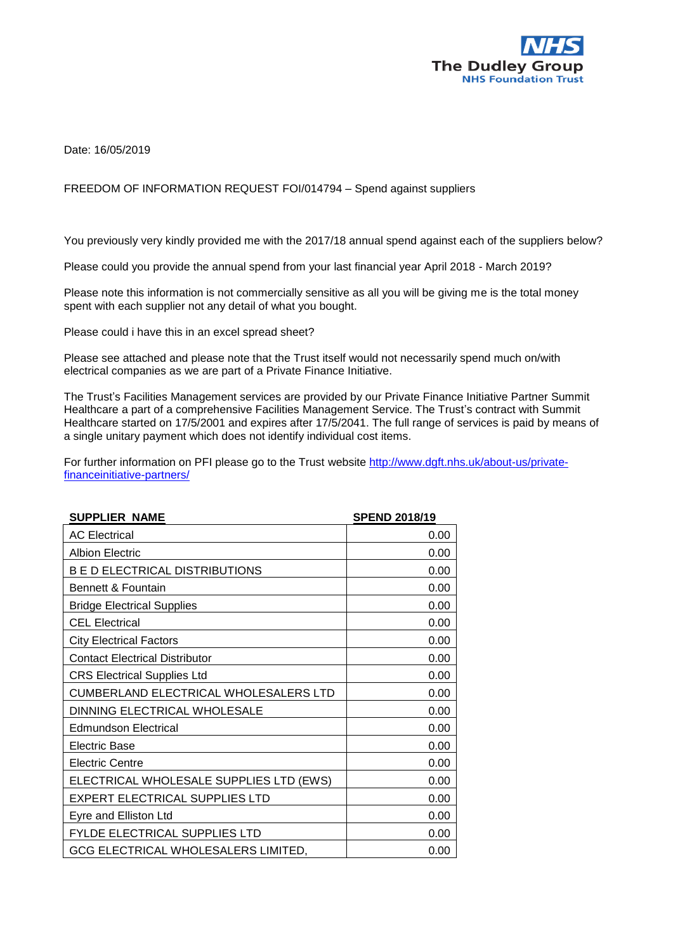

Date: 16/05/2019

## FREEDOM OF INFORMATION REQUEST FOI/014794 – Spend against suppliers

You previously very kindly provided me with the 2017/18 annual spend against each of the suppliers below?

Please could you provide the annual spend from your last financial year April 2018 - March 2019?

Please note this information is not commercially sensitive as all you will be giving me is the total money spent with each supplier not any detail of what you bought.

Please could i have this in an excel spread sheet?

Please see attached and please note that the Trust itself would not necessarily spend much on/with electrical companies as we are part of a Private Finance Initiative.

The Trust's Facilities Management services are provided by our Private Finance Initiative Partner Summit Healthcare a part of a comprehensive Facilities Management Service. The Trust's contract with Summit Healthcare started on 17/5/2001 and expires after 17/5/2041. The full range of services is paid by means of a single unitary payment which does not identify individual cost items.

For further information on PFI please go to the Trust website [http://www.dgft.nhs.uk/about-us/private](http://www.dgft.nhs.uk/about-us/private-financeinitiative-partners/)[financeinitiative-partners/](http://www.dgft.nhs.uk/about-us/private-financeinitiative-partners/)

| <b>SUPPLIER NAME</b>                    | <b>SPEND 2018/19</b> |
|-----------------------------------------|----------------------|
| <b>AC Electrical</b>                    | 0.00                 |
| <b>Albion Electric</b>                  | 0.00                 |
| <b>B E D ELECTRICAL DISTRIBUTIONS</b>   | 0.00                 |
| Bennett & Fountain                      | 0.00                 |
| <b>Bridge Electrical Supplies</b>       | 0.00                 |
| <b>CEL Electrical</b>                   | 0.00                 |
| <b>City Electrical Factors</b>          | 0.00                 |
| <b>Contact Electrical Distributor</b>   | 0.00                 |
| <b>CRS Electrical Supplies Ltd</b>      | 0.00                 |
| CUMBERLAND ELECTRICAL WHOLESALERS LTD   | 0.00                 |
| DINNING ELECTRICAL WHOLESALE            | 0.00                 |
| <b>Edmundson Electrical</b>             | 0.00                 |
| <b>Electric Base</b>                    | 0.00                 |
| <b>Electric Centre</b>                  | 0.00                 |
| ELECTRICAL WHOLESALE SUPPLIES LTD (EWS) | 0.00                 |
| <b>EXPERT ELECTRICAL SUPPLIES LTD</b>   | 0.00                 |
| Eyre and Elliston Ltd                   | 0.00                 |
| FYLDE ELECTRICAL SUPPLIES LTD           | 0.00                 |
| GCG ELECTRICAL WHOLESALERS LIMITED,     | 0.00                 |